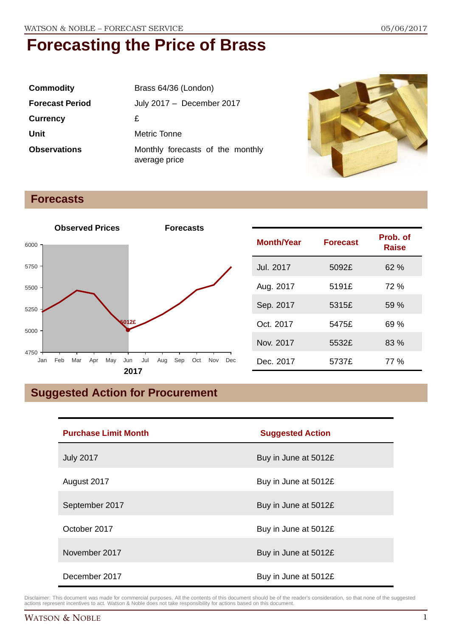| <b>Commodity</b>       | Brass 64/36 (London)                              |
|------------------------|---------------------------------------------------|
| <b>Forecast Period</b> | July 2017 - December 2017                         |
| <b>Currency</b>        | £                                                 |
| Unit                   | Metric Tonne                                      |
| <b>Observations</b>    | Monthly forecasts of the monthly<br>average price |



### **Forecasts**



## **Suggested Action for Procurement**

| <b>Purchase Limit Month</b> | <b>Suggested Action</b> |
|-----------------------------|-------------------------|
| <b>July 2017</b>            | Buy in June at 5012£    |
| August 2017                 | Buy in June at 5012£    |
| September 2017              | Buy in June at 5012£    |
| October 2017                | Buy in June at 5012£    |
| November 2017               | Buy in June at 5012£    |
| December 2017               | Buy in June at 5012£    |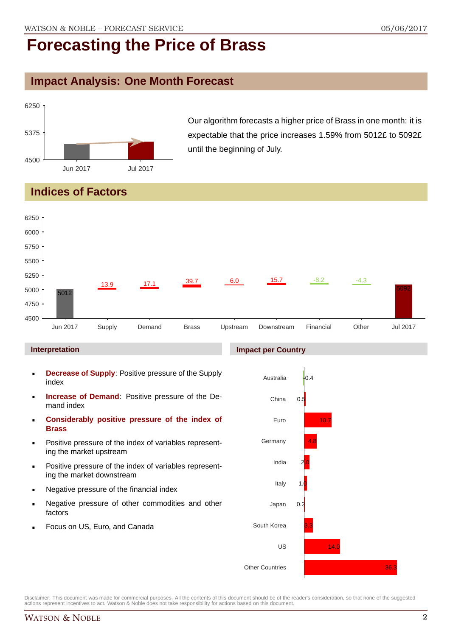## **Impact Analysis: One Month Forecast**



Our algorithm forecasts a higher price of Brass in one month: it is expectable that the price increases 1.59% from 5012£ to 5092£ until the beginning of July.

## **Indices of Factors**



#### **Interpretation**

- **Decrease of Supply**: Positive pressure of the Supply index
- **Increase of Demand**: Positive pressure of the Demand index
- **Considerably positive pressure of the index of Brass**
- Positive pressure of the index of variables representing the market upstream
- Positive pressure of the index of variables representing the market downstream
- Negative pressure of the financial index
- Negative pressure of other commodities and other factors
- Focus on US, Euro, and Canada

#### **Impact per Country**

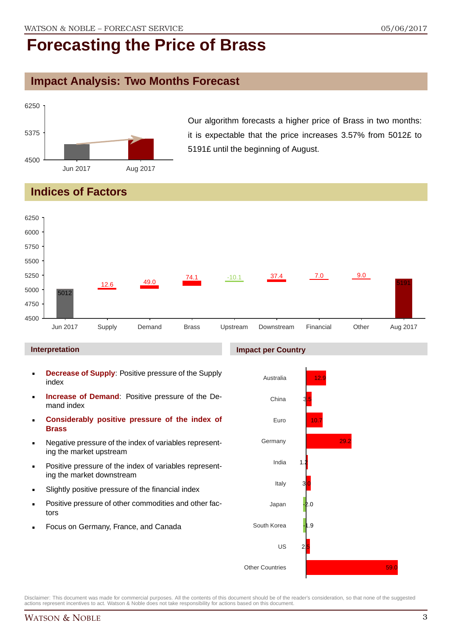### **Impact Analysis: Two Months Forecast**



Our algorithm forecasts a higher price of Brass in two months: it is expectable that the price increases 3.57% from 5012£ to 5191£ until the beginning of August.

## **Indices of Factors**



#### **Interpretation**

- **Decrease of Supply**: Positive pressure of the Supply index
- **Increase of Demand**: Positive pressure of the Demand index
- **Considerably positive pressure of the index of Brass**
- Negative pressure of the index of variables representing the market upstream
- Positive pressure of the index of variables representing the market downstream
- Slightly positive pressure of the financial index
- Positive pressure of other commodities and other factors
- Focus on Germany, France, and Canada



Disclaimer: This document was made for commercial purposes. All the contents of this document should be of the reader's consideration, so that none of the suggested actions represent incentives to act. Watson & Noble does not take responsibility for actions based on this document.

#### **Impact per Country**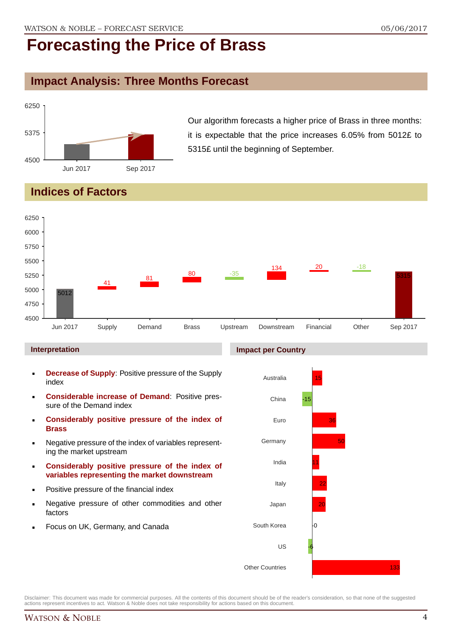## **Impact Analysis: Three Months Forecast**



Our algorithm forecasts a higher price of Brass in three months: it is expectable that the price increases 6.05% from 5012£ to 5315£ until the beginning of September.

## **Indices of Factors**



#### **Interpretation**

- **Decrease of Supply**: Positive pressure of the Supply index
- **Considerable increase of Demand**: Positive pressure of the Demand index
- **Considerably positive pressure of the index of Brass**
- Negative pressure of the index of variables representing the market upstream
- **Considerably positive pressure of the index of variables representing the market downstream**
- Positive pressure of the financial index
- Negative pressure of other commodities and other factors
- Focus on UK, Germany, and Canada

#### **Impact per Country**

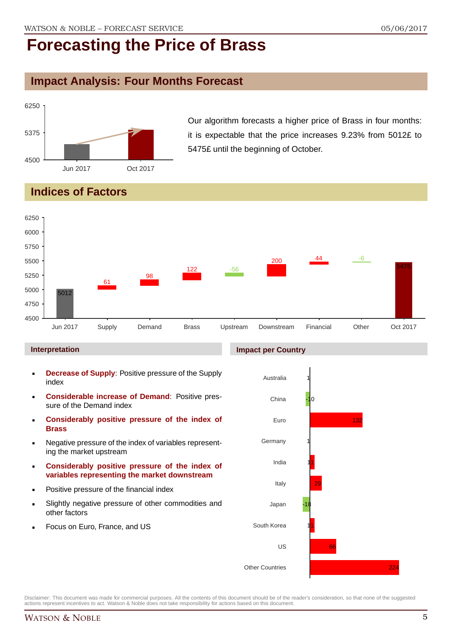## **Impact Analysis: Four Months Forecast**



Our algorithm forecasts a higher price of Brass in four months: it is expectable that the price increases 9.23% from 5012£ to 5475£ until the beginning of October.

## **Indices of Factors**



#### **Interpretation**

- **Decrease of Supply**: Positive pressure of the Supply index
- **Considerable increase of Demand**: Positive pressure of the Demand index
- **Considerably positive pressure of the index of Brass**
- Negative pressure of the index of variables representing the market upstream
- **Considerably positive pressure of the index of variables representing the market downstream**
- Positive pressure of the financial index
- Slightly negative pressure of other commodities and other factors
- Focus on Euro, France, and US

#### **Impact per Country**

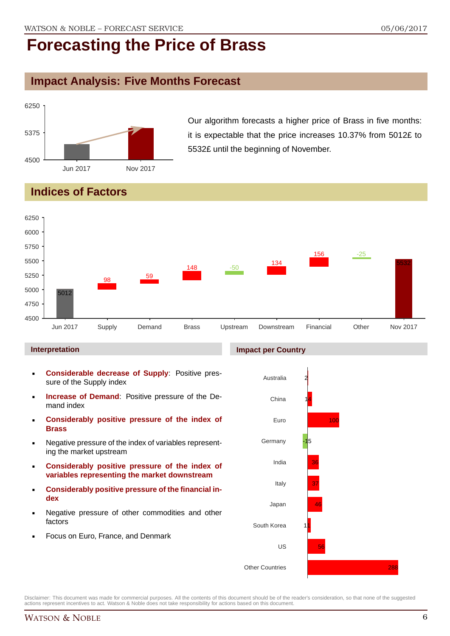### **Impact Analysis: Five Months Forecast**



Our algorithm forecasts a higher price of Brass in five months: it is expectable that the price increases 10.37% from 5012£ to 5532£ until the beginning of November.

## **Indices of Factors**



#### **Interpretation**

- **Considerable decrease of Supply**: Positive pressure of the Supply index
- **Increase of Demand**: Positive pressure of the Demand index
- **Considerably positive pressure of the index of Brass**
- Negative pressure of the index of variables representing the market upstream
- **Considerably positive pressure of the index of variables representing the market downstream**
- **Considerably positive pressure of the financial index**
- Negative pressure of other commodities and other factors
- Focus on Euro, France, and Denmark



Disclaimer: This document was made for commercial purposes. All the contents of this document should be of the reader's consideration, so that none of the suggested actions represent incentives to act. Watson & Noble does not take responsibility for actions based on this document.

#### **Impact per Country**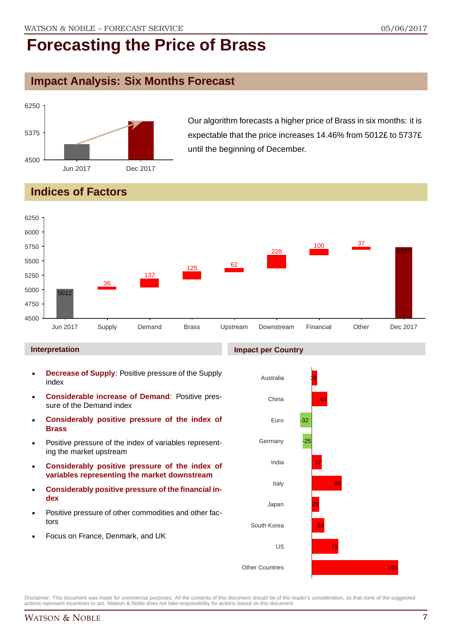## **Impact Analysis: Six Months Forecast**



Our algorithm forecasts a higher price of Brass in six months: it is expectable that the price increases 14.46% from 5012£ to 5737£ until the beginning of December.

## **Indices of Factors**



#### **Interpretation**

- **Decrease of Supply**: Positive pressure of the Supply index
- **Considerable increase of Demand**: Positive pressure of the Demand index
- **Considerably positive pressure of the index of Brass**
- Positive pressure of the index of variables representing the market upstream
- **Considerably positive pressure of the index of variables representing the market downstream**
- **Considerably positive pressure of the financial index**
- Positive pressure of other commodities and other factors
- Focus on France, Denmark, and UK

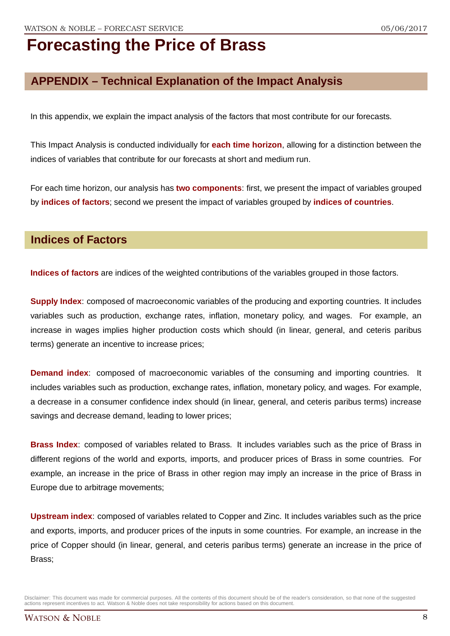## **APPENDIX – Technical Explanation of the Impact Analysis**

In this appendix, we explain the impact analysis of the factors that most contribute for our forecasts.

This Impact Analysis is conducted individually for **each time horizon**, allowing for a distinction between the indices of variables that contribute for our forecasts at short and medium run.

For each time horizon, our analysis has **two components**: first, we present the impact of variables grouped by **indices of factors**; second we present the impact of variables grouped by **indices of countries**.

### **Indices of Factors**

**Indices of factors** are indices of the weighted contributions of the variables grouped in those factors.

**Supply Index**: composed of macroeconomic variables of the producing and exporting countries. It includes variables such as production, exchange rates, inflation, monetary policy, and wages. For example, an increase in wages implies higher production costs which should (in linear, general, and ceteris paribus terms) generate an incentive to increase prices;

**Demand index**: composed of macroeconomic variables of the consuming and importing countries. It includes variables such as production, exchange rates, inflation, monetary policy, and wages. For example, a decrease in a consumer confidence index should (in linear, general, and ceteris paribus terms) increase savings and decrease demand, leading to lower prices;

**Brass Index**: composed of variables related to Brass. It includes variables such as the price of Brass in different regions of the world and exports, imports, and producer prices of Brass in some countries. For example, an increase in the price of Brass in other region may imply an increase in the price of Brass in Europe due to arbitrage movements;

**Upstream index**: composed of variables related to Copper and Zinc. It includes variables such as the price and exports, imports, and producer prices of the inputs in some countries. For example, an increase in the price of Copper should (in linear, general, and ceteris paribus terms) generate an increase in the price of Brass;